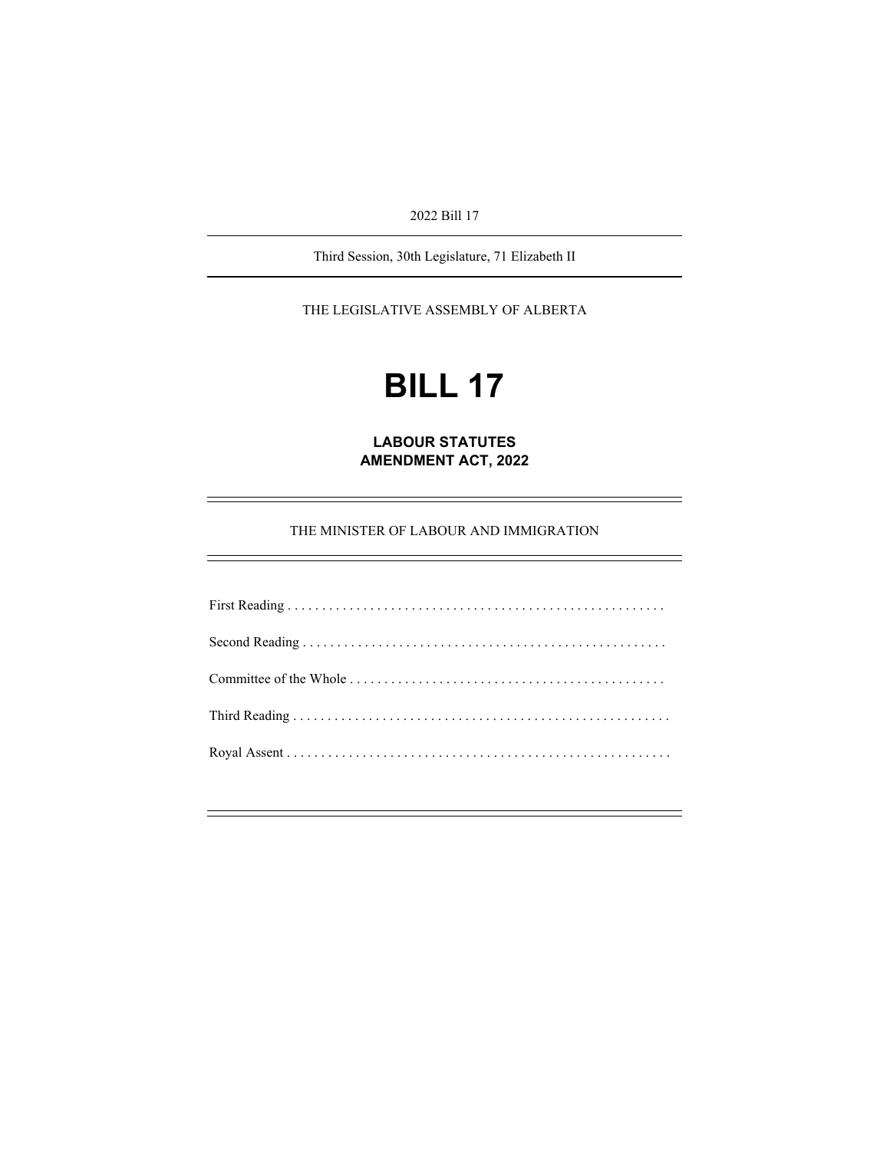2022 Bill 17

Third Session, 30th Legislature, 71 Elizabeth II

THE LEGISLATIVE ASSEMBLY OF ALBERTA

# **BILL 17**

**LABOUR STATUTES AMENDMENT ACT, 2022** 

THE MINISTER OF LABOUR AND IMMIGRATION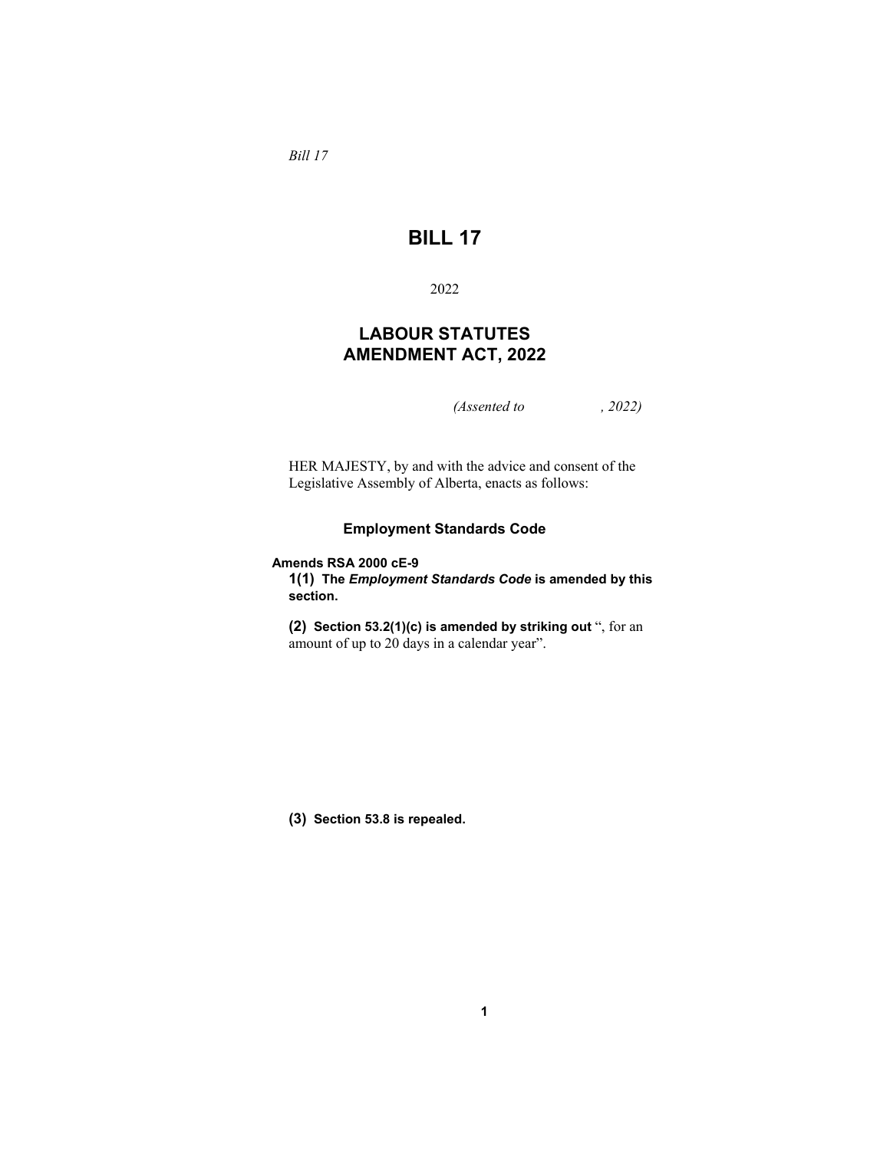*Bill 17* 

# **BILL 17**

2022

## **LABOUR STATUTES AMENDMENT ACT, 2022**

*(Assented to , 2022)* 

HER MAJESTY, by and with the advice and consent of the Legislative Assembly of Alberta, enacts as follows:

### **Employment Standards Code**

#### **Amends RSA 2000 cE-9**

**1(1) The** *Employment Standards Code* **is amended by this section.**

**(2) Section 53.2(1)(c) is amended by striking out** ", for an amount of up to 20 days in a calendar year".

**(3) Section 53.8 is repealed.**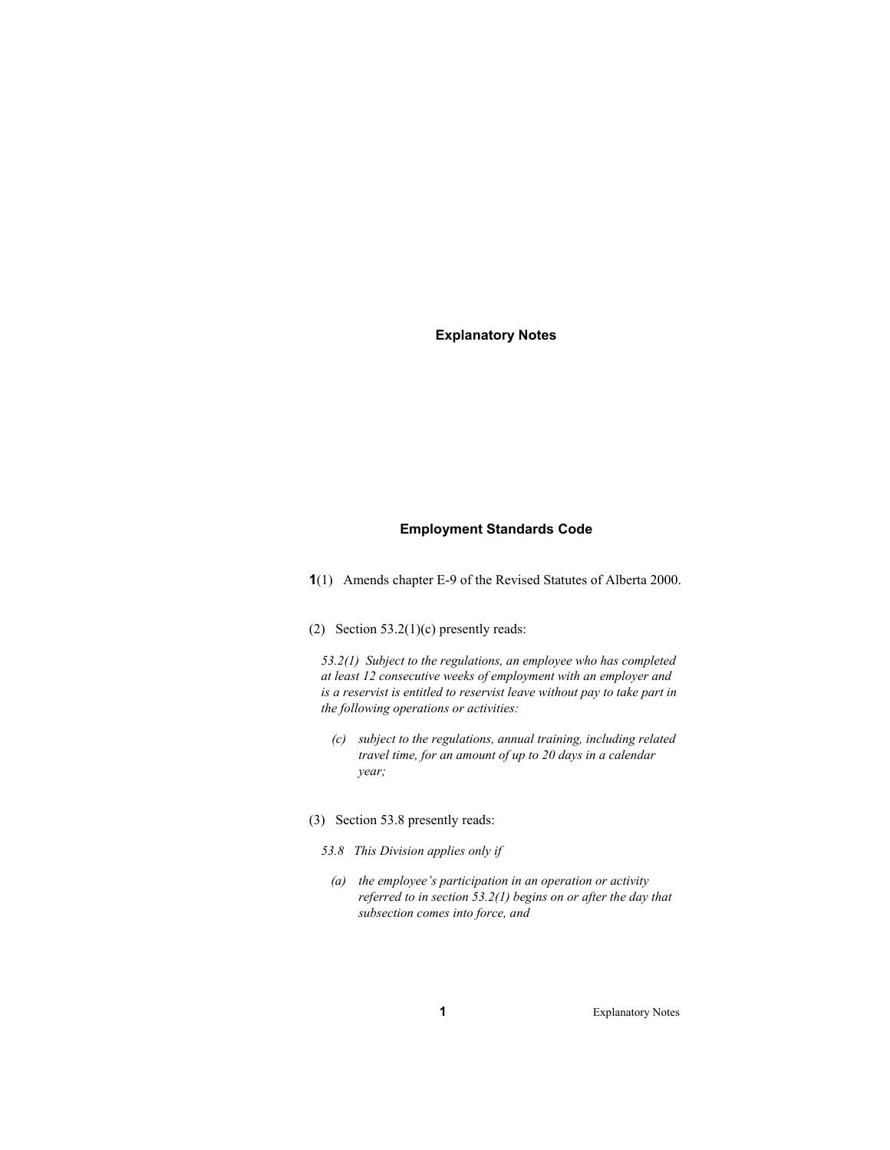## **Explanatory Notes**

#### **Employment Standards Code**

- **1**(1) Amends chapter E-9 of the Revised Statutes of Alberta 2000.
- (2) Section  $53.2(1)(c)$  presently reads:

*53.2(1) Subject to the regulations, an employee who has completed at least 12 consecutive weeks of employment with an employer and is a reservist is entitled to reservist leave without pay to take part in the following operations or activities:* 

- *(c) subject to the regulations, annual training, including related travel time, for an amount of up to 20 days in a calendar year;*
- (3) Section 53.8 presently reads:
	- *53.8 This Division applies only if* 
		- *(a) the employee's participation in an operation or activity referred to in section 53.2(1) begins on or after the day that subsection comes into force, and*

**1** Explanatory Notes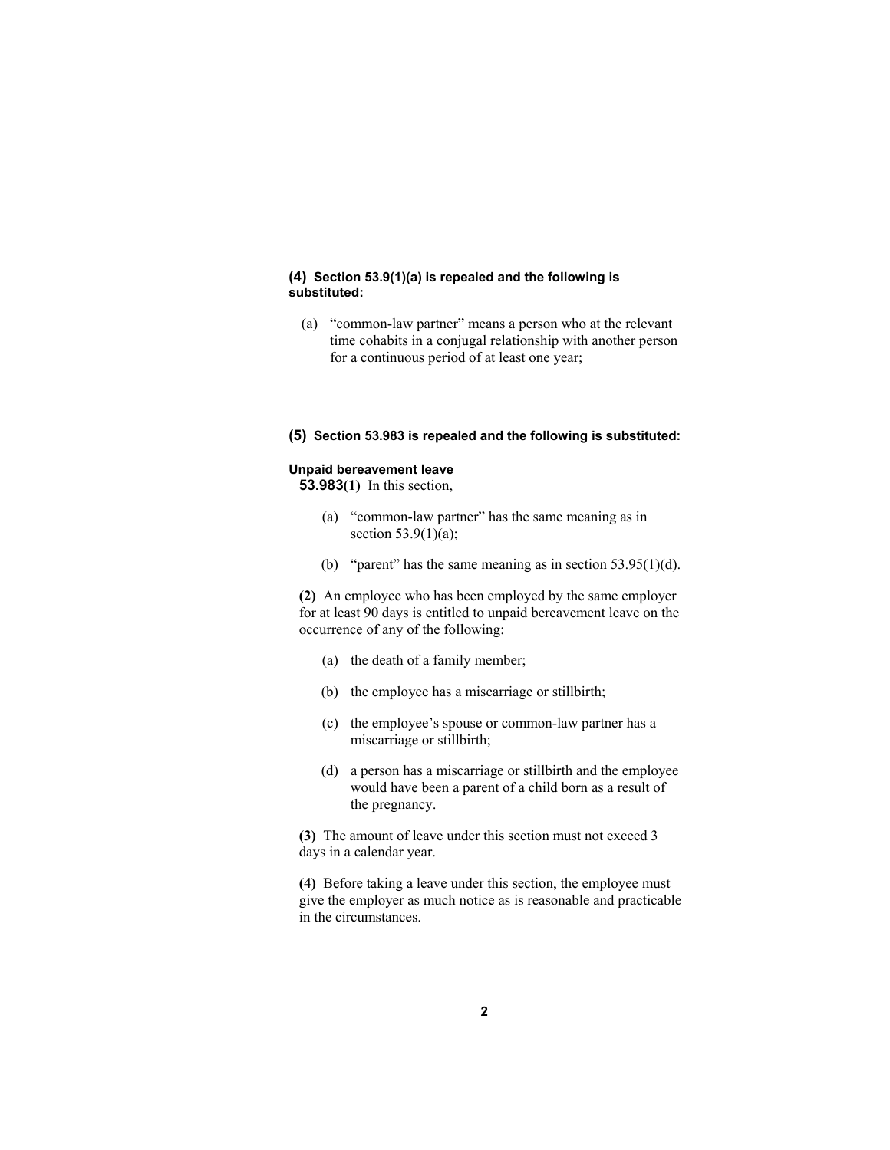#### **(4) Section 53.9(1)(a) is repealed and the following is substituted:**

 (a) "common-law partner" means a person who at the relevant time cohabits in a conjugal relationship with another person for a continuous period of at least one year;

#### **(5) Section 53.983 is repealed and the following is substituted:**

## **Unpaid bereavement leave**

**53.983(1)** In this section,

- (a) "common-law partner" has the same meaning as in section 53.9(1)(a);
- (b) "parent" has the same meaning as in section  $53.95(1)(d)$ .

**(2)** An employee who has been employed by the same employer for at least 90 days is entitled to unpaid bereavement leave on the occurrence of any of the following:

- (a) the death of a family member;
- (b) the employee has a miscarriage or stillbirth;
- (c) the employee's spouse or common-law partner has a miscarriage or stillbirth;
- (d) a person has a miscarriage or stillbirth and the employee would have been a parent of a child born as a result of the pregnancy.

**(3)** The amount of leave under this section must not exceed 3 days in a calendar year.

**(4)** Before taking a leave under this section, the employee must give the employer as much notice as is reasonable and practicable in the circumstances.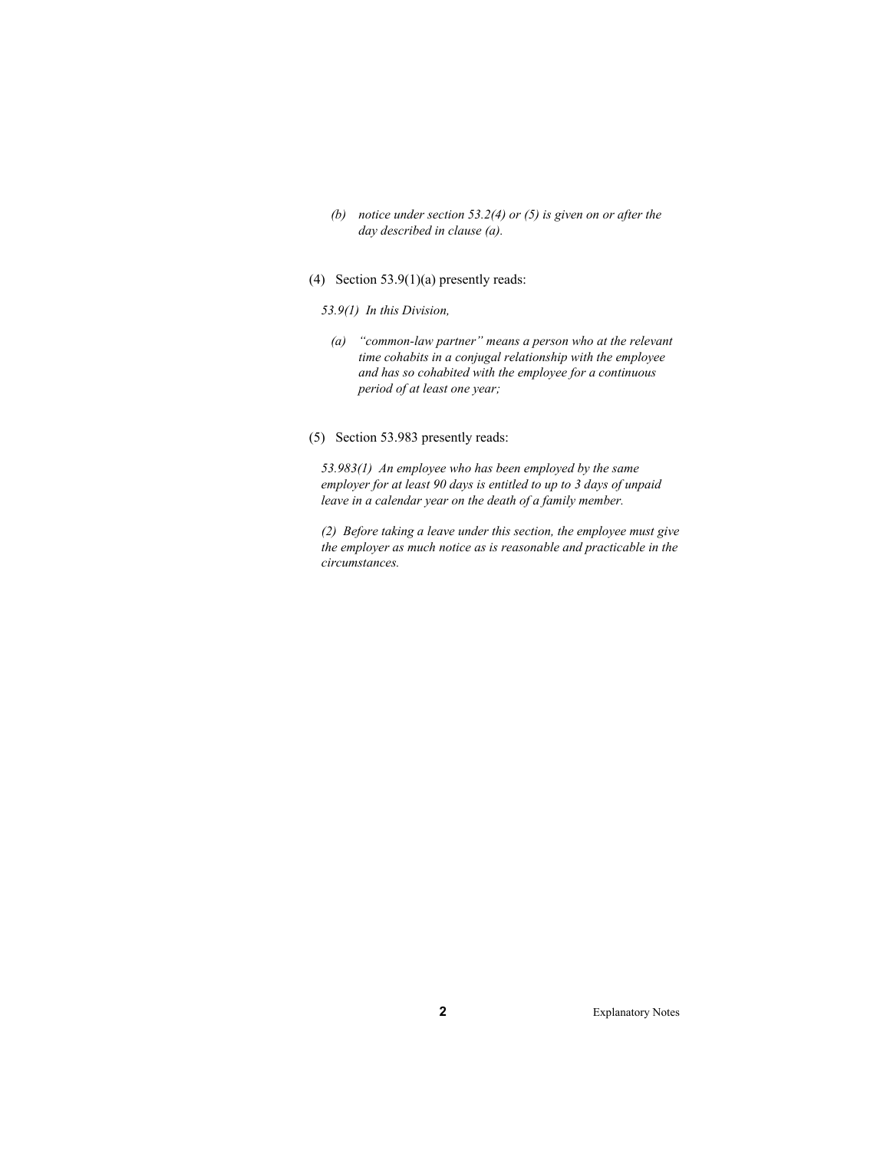- *(b) notice under section 53.2(4) or (5) is given on or after the day described in clause (a).*
- (4) Section 53.9(1)(a) presently reads:
	- *53.9(1) In this Division,* 
		- *(a) "common-law partner" means a person who at the relevant time cohabits in a conjugal relationship with the employee and has so cohabited with the employee for a continuous period of at least one year;*
- (5) Section 53.983 presently reads:

*53.983(1) An employee who has been employed by the same employer for at least 90 days is entitled to up to 3 days of unpaid leave in a calendar year on the death of a family member.* 

*(2) Before taking a leave under this section, the employee must give the employer as much notice as is reasonable and practicable in the circumstances.* 

**2** Explanatory Notes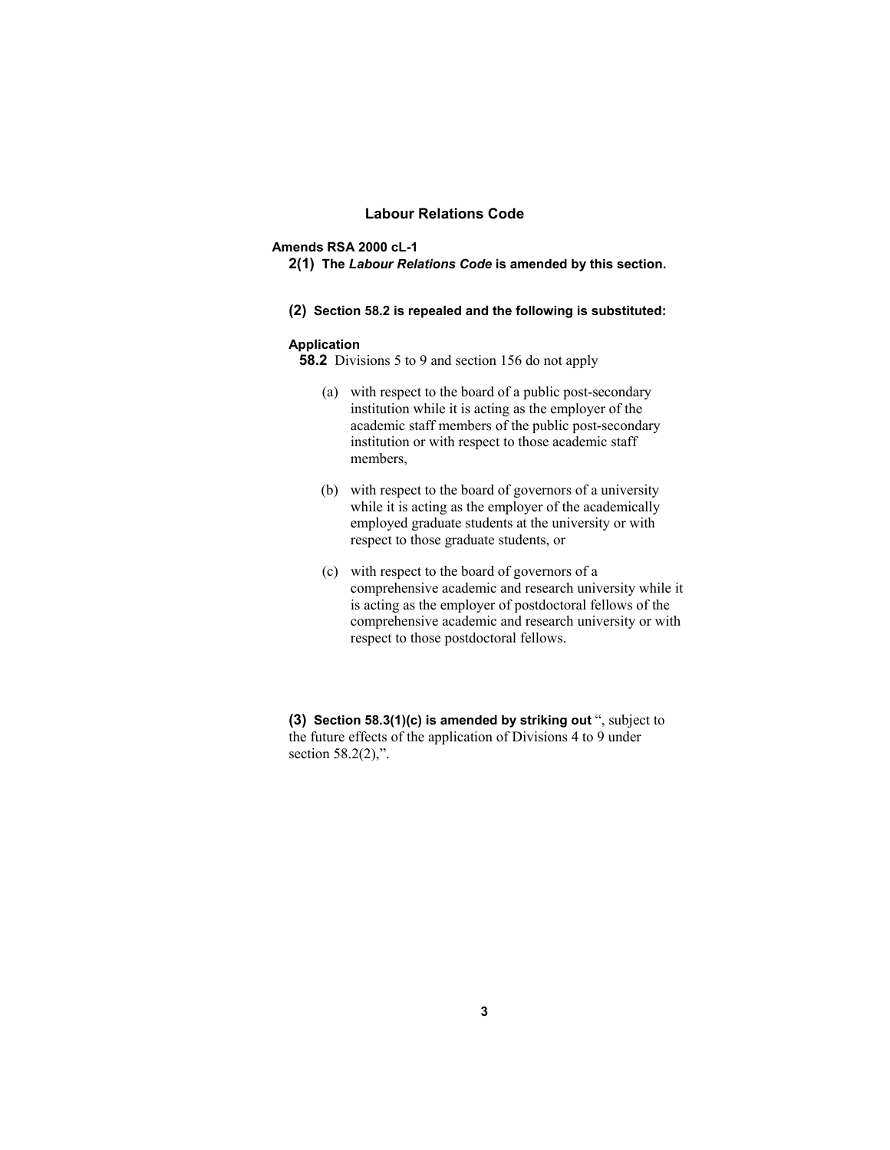#### **Labour Relations Code**

#### **Amends RSA 2000 cL-1**

- **2(1) The** *Labour Relations Code* **is amended by this section.**
- **(2) Section 58.2 is repealed and the following is substituted:**

#### **Application**

**58.2** Divisions 5 to 9 and section 156 do not apply

- (a) with respect to the board of a public post-secondary institution while it is acting as the employer of the academic staff members of the public post-secondary institution or with respect to those academic staff members,
- (b) with respect to the board of governors of a university while it is acting as the employer of the academically employed graduate students at the university or with respect to those graduate students, or
- (c) with respect to the board of governors of a comprehensive academic and research university while it is acting as the employer of postdoctoral fellows of the comprehensive academic and research university or with respect to those postdoctoral fellows.

**(3) Section 58.3(1)(c) is amended by striking out** ", subject to the future effects of the application of Divisions 4 to 9 under section 58.2(2),".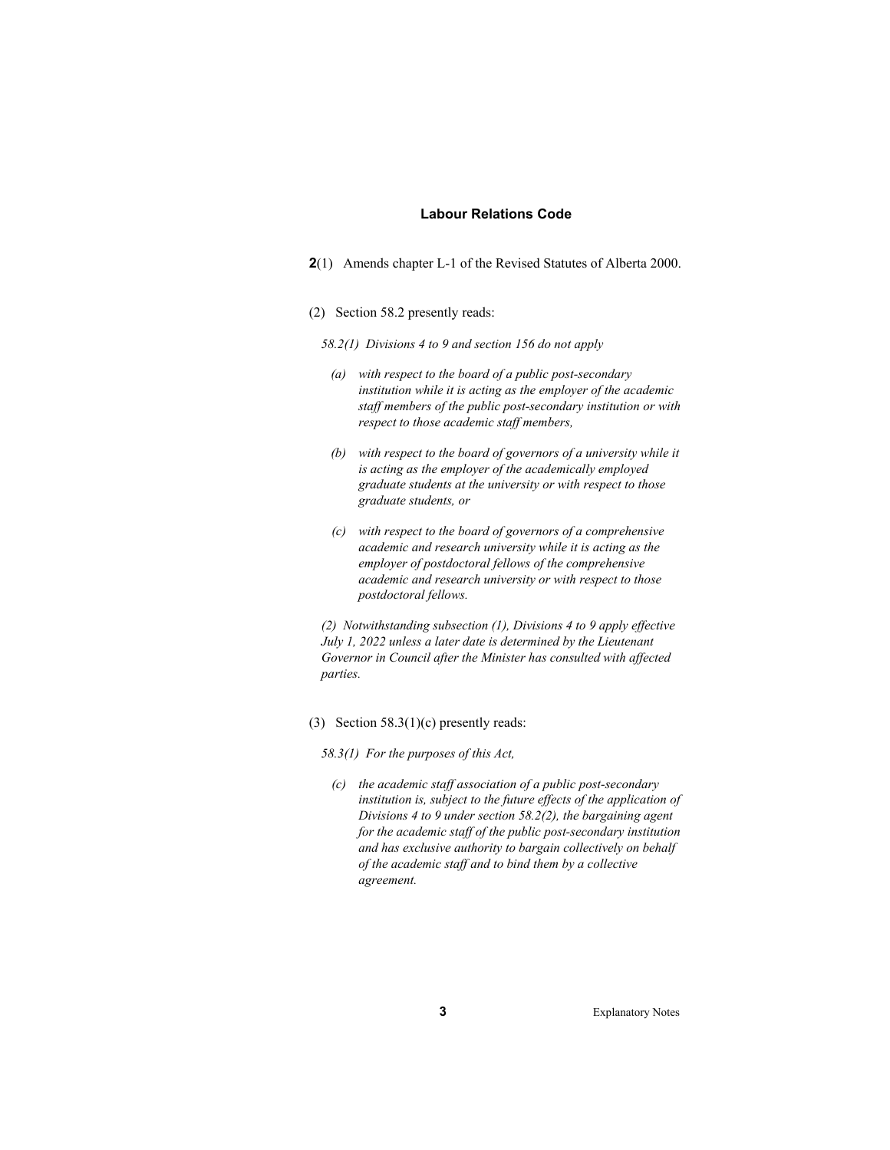#### **Labour Relations Code**

- **2**(1) Amends chapter L-1 of the Revised Statutes of Alberta 2000.
- (2) Section 58.2 presently reads:
	- *58.2(1) Divisions 4 to 9 and section 156 do not apply*
	- *(a) with respect to the board of a public post-secondary institution while it is acting as the employer of the academic staff members of the public post-secondary institution or with respect to those academic staff members,*
	- *(b) with respect to the board of governors of a university while it is acting as the employer of the academically employed graduate students at the university or with respect to those graduate students, or*
	- *(c) with respect to the board of governors of a comprehensive academic and research university while it is acting as the employer of postdoctoral fellows of the comprehensive academic and research university or with respect to those postdoctoral fellows.*

*(2) Notwithstanding subsection (1), Divisions 4 to 9 apply effective July 1, 2022 unless a later date is determined by the Lieutenant Governor in Council after the Minister has consulted with affected parties.* 

(3) Section  $58.3(1)(c)$  presently reads:

*58.3(1) For the purposes of this Act,* 

 *(c) the academic staff association of a public post-secondary institution is, subject to the future effects of the application of Divisions 4 to 9 under section 58.2(2), the bargaining agent for the academic staff of the public post-secondary institution and has exclusive authority to bargain collectively on behalf of the academic staff and to bind them by a collective agreement.*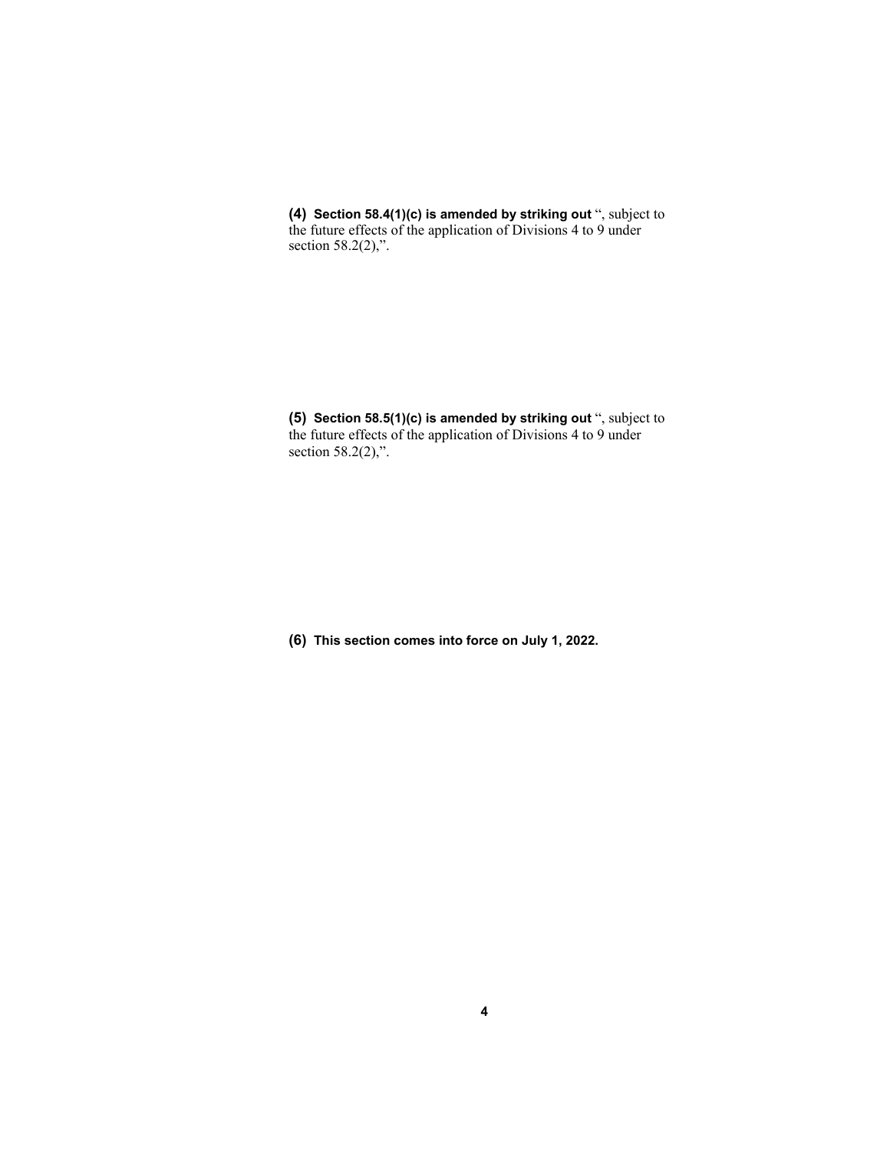**(4) Section 58.4(1)(c) is amended by striking out** ", subject to the future effects of the application of Divisions 4 to 9 under section 58.2(2),".

**(5) Section 58.5(1)(c) is amended by striking out** ", subject to the future effects of the application of Divisions 4 to 9 under section 58.2(2),".

**(6) This section comes into force on July 1, 2022.**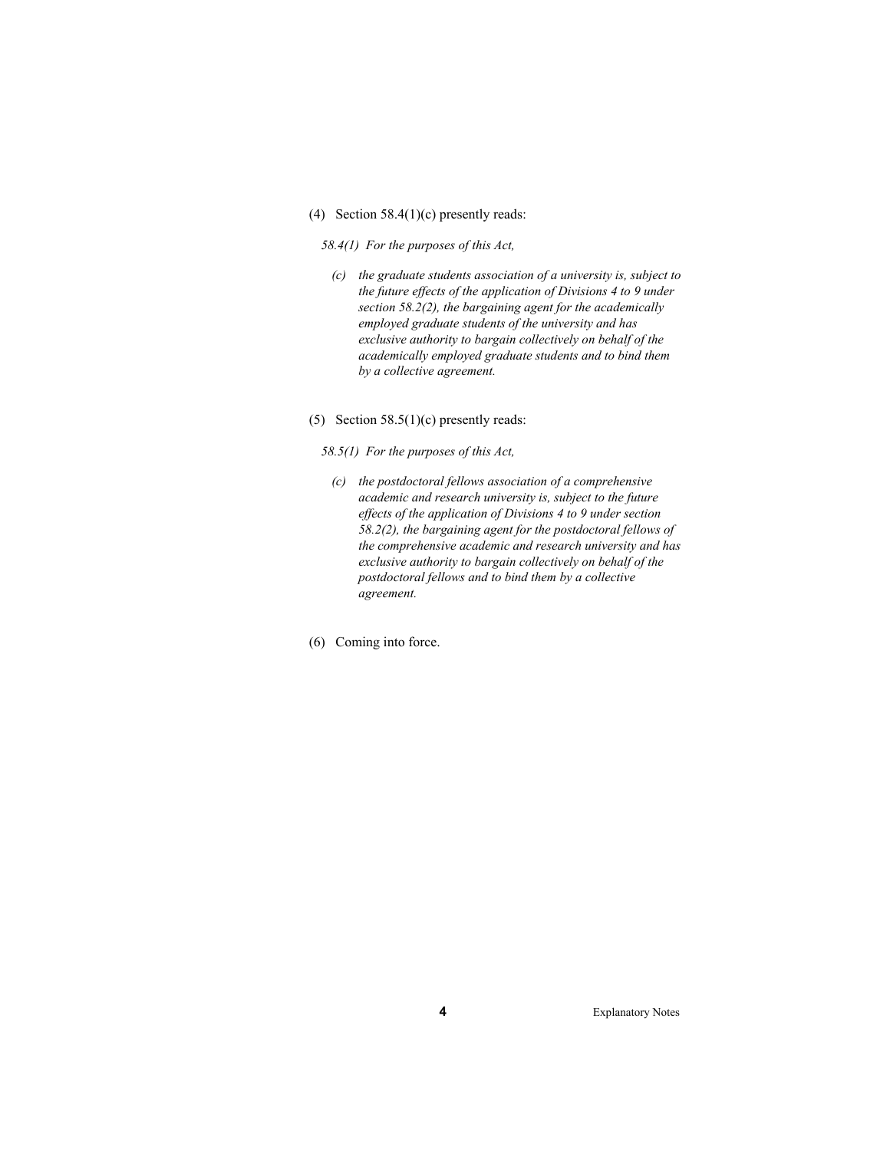(4) Section 58.4(1)(c) presently reads:

#### *58.4(1) For the purposes of this Act,*

- *(c) the graduate students association of a university is, subject to the future effects of the application of Divisions 4 to 9 under section 58.2(2), the bargaining agent for the academically employed graduate students of the university and has exclusive authority to bargain collectively on behalf of the academically employed graduate students and to bind them by a collective agreement.*
- (5) Section  $58.5(1)(c)$  presently reads:

*58.5(1) For the purposes of this Act,* 

- *(c) the postdoctoral fellows association of a comprehensive academic and research university is, subject to the future effects of the application of Divisions 4 to 9 under section 58.2(2), the bargaining agent for the postdoctoral fellows of the comprehensive academic and research university and has exclusive authority to bargain collectively on behalf of the postdoctoral fellows and to bind them by a collective agreement.*
- (6) Coming into force.